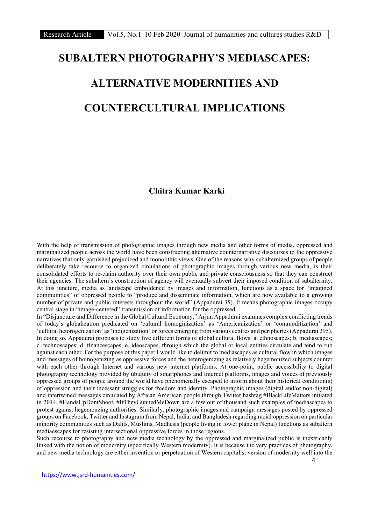# SUBALTERN PHOTOGRAPHY'S MEDIASCAPES: ALTERNATIVE MODERNITIES AND COUNTERCULTURAL IMPLICATIONS

## Chitra Kumar Karki

With the help of transmission of photographic images through new media and other forms of media, oppressed and marginalized people across the world have been constructing alternative counternarrative discourses to the oppressive narratives that only garnished prejudiced and monolithic views. One of the reasons why subalternized groups of people deliberately take recourse to organized circulations of photographic images through various new media, is their consolidated efforts to re-claim authority over their own public and private consciousness so that they can construct their agencies. The subaltern's construction of agency will eventually subvert their imposed condition of subalternity. At this juncture, media as landscape emboldened by images and information, functions as a space for "imagined communities" of oppressed people to "produce and disseminate information, which are now available to a growing number of private and public interests throughout the world" (Appadurai 35). It means photographic images occupy central stage in "image-centered" transmission of information for the oppressed.

In "Disjuncture and Difference in the Global Cultural Economy," Arjun Appadurai examines complex conflicting trends of today's globalization predicated on 'cultural homoginization' as 'Americanization' or 'commoditization' and 'cultural hetorogenization' as 'indigenization' or forces emerging from various centres and peripheries (Appadurai 295). In doing so, Appadurai proposes to study five different forms of global cultural flows: a. ethnoscapes; b. mediascapes; c. technoscapes; d. financescapes; e. ideoscapes, through which the global or local entities circulate and tend to rub against each other. For the purpose of this paper I would like to delimit to mediascapes as cultural flow in which images and messages of homogenizing as oppressive forces and the heterogenizing as relatively hegemonized subjects counter with each other through Internet and various new internet platforms. At one-point, public accessibility to digital photography technology provided by ubiquity of smartphones and Internet platforms, images and voices of previously oppressed groups of people around the world have phenomenally escaped to inform about their historical condition(s) of oppression and their incessant struggles for freedom and identity. Photographic images (digital and/or non-digital) and intertwined messages circulated by African American people through Twitter hashtag #BlackLifeMatters initiated in 2014, #HandsUpDontShoot, #IfTheyGunnedMeDown are a few out of thousand such examples of mediascapes to protest against hegemonzing authorities. Similarly, photographic images and campaign messages posted by oppressed groups on Facebook, Twitter and Instagram from Nepal, India, and Bangladesh regarding racial oppression on particular minority communities such as Dalits, Muslims, Madhesis (people living in lower plane in Nepal) functions as subaltern mediaescapes for resisting intersectional oppressive forces in those regions.

Such recourse to photography and new media technology by the oppressed and marginalized public is inextricably linked with the notion of modernity (specifically Western modernity). It is because the very practices of photography, and new media technology are either invention or perpetuation of Western capitalist version of modernity well into the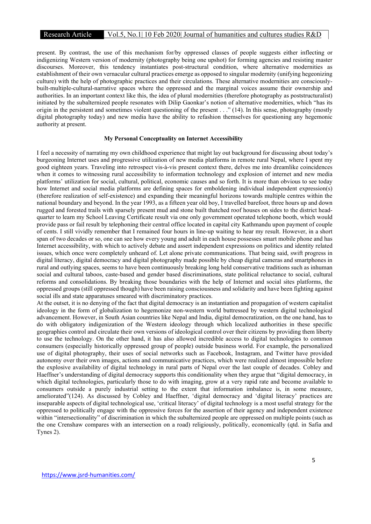present. By contrast, the use of this mechanism for/by oppressed classes of people suggests either inflecting or indigenizing Western version of modernity (photography being one upshot) for forming agencies and resisting master discourses. Moreover, this tendency instantiates post-structural condition, where alternative modernities as establishment of their own vernacular cultural practices emerge as opposed to singular modernity (unifying hegeonizing culture) with the help of photographic practices and their circulations. These alternative modernities are consciouslybuilt-multiple-cultural-narrative spaces where the oppressed and the marginal voices assume their ownership and authorities. In an important context like this, the idea of plural modernities (therefore photography as poststructuralist) initiated by the subalternized people resonates with Dilip Gaonkar's notion of alternative modernities, which "has its origin in the persistent and sometimes violent questioning of the present . . ." (14). In this sense, photography (mostly digital photography today) and new media have the ability to refashion themselves for questioning any hegemonic authority at present.

### My Personal Conceptuality on Internet Accessibility

I feel a necessity of narrating my own childhood experience that might lay out background for discussing about today's burgeoning Internet uses and progressive utilization of new media platforms in remote rural Nepal, where I spent my good eighteen years. Traveling into retrospect vis-à-vis present context there, delves me into dreamlike coincidences when it comes to witnessing rural accessibility to information technology and explosion of internet and new media platforms' utilization for social, cultural, political, economic causes and so forth. It is more than obvious to see today how Internet and social media platforms are defining spaces for emboldening individual independent expression(s) (therefore realization of self-existence) and expanding their meaningful horizons towards multiple centres within the national boundary and beyond. In the year 1993, as a fifteen year old boy, I travelled barefoot, three hours up and down rugged and forested trails with sparsely present mud and stone built thatched roof houses on sides to the district headquarter to learn my School Leaving Certificate result via one only government operated telephone booth, which would provide pass or fail result by telephoning their central office located in capital city Kathmandu upon payment of couple of cents. I still vividly remember that I remained four hours in line-up waiting to hear my result. However, in a short span of two decades or so, one can see how every young and adult in each house possesses smart mobile phone and has Internet accessibility, with which to actively debate and assert independent expressions on politics and identity related issues, which once were completely unheard of. Let alone private communications. That being said, swift progress in digital literacy, digital democracy and digital photography made possible by cheap digital cameras and smartphones in rural and outlying spaces, seems to have been continuously breaking long held conservative traditions such as inhuman social and cultural taboos, caste-based and gender based discriminations, state political reluctance to social, cultural reforms and consolidations. By breaking those boundaries with the help of Internet and social sites platforms, the oppressed groups (still oppressed though) have been raising consciousness and solidarity and have been fighting against social ills and state apparatuses smeared with discriminatory practices.

At the outset, it is no denying of the fact that digital democracy is an instantiation and propagation of western capitalist ideology in the form of globalization to hegemonize non-western world buttressed by western digital technological advancement. However, in South Asian countries like Nepal and India, digital democratization, on the one hand, has to do with obligatory indigenization of the Western ideology through which localized authorities in these specific geographies control and circulate their own versions of ideological control over their citizens by providing them liberty to use the technology. On the other hand, it has also allowed incredible access to digital technologies to common consumers (especially historically oppressed group of people) outside business world. For example, the personalized use of digital photography, their uses of social networks such as Facebook, Instagram, and Twitter have provided autonomy over their own images, actions and communicative practices, which were realized almost impossible before the explosive availability of digital technology in rural parts of Nepal over the last couple of decades. Cobley and Haeffner's understanding of digital democracy supports this conditionality when they argue that "digital democracy, in which digital technologies, particularly those to do with imaging, grow at a very rapid rate and become available to consumers outside a purely industrial setting to the extent that information imbalance is, in some measure, ameliorated"(124). As discussed by Cobley and Haeffner, 'digital democracy and 'digital literacy' practices are inseparable aspects of digital technological use, 'critical literacy' of digital technology is a most useful strategy for the oppressed to politically engage with the oppressive forces for the assertion of their agency and independent existence within "intersectionality" of discrimination in which the subalternized people are oppressed on multiple points (such as the one Crenshaw compares with an intersection on a road) religiously, politically, economically (qtd. in Safia and Tynes 2).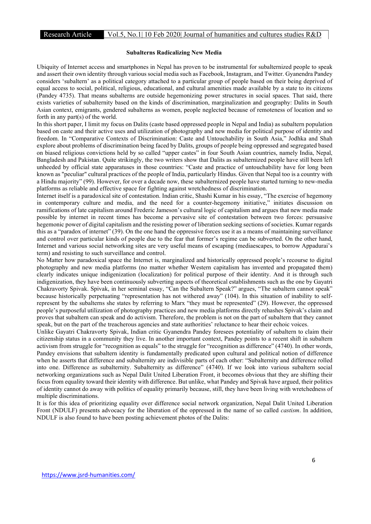## Subalterns Radicalizing New Media

Ubiquity of Internet access and smartphones in Nepal has proven to be instrumental for subalternized people to speak and assert their own identity through various social media such as Facebook, Instagram, and Twitter. Gyanendra Pandey considers 'subaltern' as a political category attached to a particular group of people based on their being deprived of equal access to social, political, religious, educational, and cultural amenities made available by a state to its citizens (Pandey 4735). That means subalterns are outside hegemonizing power structures in social spaces. That said, there exists varieties of subalternity based on the kinds of discrimination, marginalization and geography: Dalits in South Asian context, emigrants, gendered subalterns as women, people neglected because of remoteness of location and so forth in any part(s) of the world.

In this short paper, I limit my focus on Dalits (caste based oppressed people in Nepal and India) as subaltern population based on caste and their active uses and utilization of photography and new media for political purpose of identity and freedom. In "Comparative Contexts of Discrimination: Caste and Untouchability in South Asia," Jodhka and Shah explore about problems of discrimination being faced by Dalits, groups of people being oppressed and segregated based on biased religious convictions held by so called "upper castes" in four South Asian countries, namely India, Nepal, Bangladesh and Pakistan. Quite strikingly, the two writers show that Dalits as subalternized people have still been left unheeded by official state apparatuses in those countries: "Caste and practice of untouchability have for long been known as "peculiar" cultural practices of the people of India, particularly Hindus. Given that Nepal too is a country with a Hindu majority" (99). However, for over a decade now, these subalternized people have started turning to new-media platforms as reliable and effective space for fighting against wretchedness of discrimination.

Internet itself is a paradoxical site of contestation. Indian critic, Shashi Kumar in his essay, "The exercise of hegemony in contemporary culture and media, and the need for a counter-hegemony initiative," initiates discussion on ramifications of late capitalism around Frederic Jameson's cultural logic of capitalism and argues that new media made possible by internet in recent times has become a pervasive site of contestation between two forces: persuasive hegemonic power of digital capitalism and the resisting power of liberation seeking sections of societies. Kumar regards this as a "paradox of internet" (39). On the one hand the oppressive forces use it as a means of maintaining surveillance and control over particular kinds of people due to the fear that former's regime can be subverted. On the other hand, Internet and various social networking sites are very useful means of escaping (mediaescapes, to borrow Appadurai's term) and resisting to such surveillance and control.

No Matter how paradoxical space the Internet is, marginalized and historically oppressed people's recourse to digital photography and new media platforms (no matter whether Western capitalism has invented and propagated them) clearly indicates unique indigenization (localization) for political purpose of their identity. And it is through such indigenization, they have been continuously subverting aspects of theoretical establishments such as the one by Gayatri Chakravorty Spivak. Spivak, in her seminal essay, "Can the Subaltern Speak?" argues, "The subaltern cannot speak" because historically perpetuating "representation has not withered away" (104). In this situation of inability to selfrepresent by the subalterns she states by referring to Marx "they must be represented" (29). However, the oppressed people's purposeful utilization of photography practices and new media platforms directly rehashes Spivak's claim and proves that subaltern can speak and do activism. Therefore, the problem is not on the part of subaltern that they cannot speak, but on the part of the treacherous agencies and state authorities' reluctance to hear their echoic voices.

Unlike Gayatri Chakravorty Spivak, Indian critic Gyanendra Pandey foresees potentiality of subaltern to claim their citizenship status in a community they live. In another important context, Pandey points to a recent shift in subaltern activism from struggle for "recognition as equals" to the struggle for "recognition as difference" (4740). In other words, Pandey envisions that subaltern identity is fundamentally predicated upon cultural and political notion of difference when he asserts that difference and subalternity are indivisible parts of each other: "Subalternity and difference rolled into one. Difference as subalternity. Subalternity as difference" (4740). If we look into various subaltern social networking organizations such as Nepal Dalit United Liberation Front, it becomes obvious that they are shifting their focus from equality toward their identity with difference. But unlike, what Pandey and Spivak have argued, their politics of identity cannot do away with politics of equality primarily because, still, they have been living with wretchedness of multiple discriminations.

It is for this idea of prioritizing equality over difference social network organization, Nepal Dalit United Liberation Front (NDULF) presents advocacy for the liberation of the oppressed in the name of so called *castism*. In addition, NDULF is also found to have been posting achievement photos of the Dalits: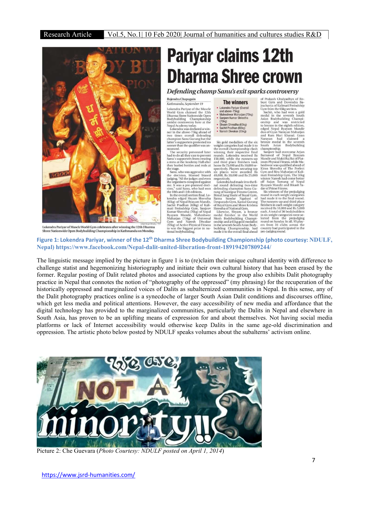

Lokendra Pariyar of Muscle World Gym celebrates after winning the 12th Dharma de Open Bodybuilding Championship in Kath

## **Pariyar claims 12th Dharma Shree crown**

Defending champ Sanu's exit sparks controversy

Rajendra Chapagain Kathmandu, September 19

Kattmanaut, september 19<br>
Lokendra Pariyar of the Muscle<br>
Lokendra Gray Calimer State World Gym claimed the 12th<br>
Dharmas Shree State Baroline<br>
Bodybuilding Championship<br>
Nepal Academy today.<br>
Lokendra was declared a win-<br>

nounced.

**The winners** • Lokendra Pariyar (Overall<br>
and above-75kg)<br>
• Maheshwor Maharjan (75kg)

· Sanieev Kumar Shresth  $(70kq)$ Shyam Shrestha (65kg)

• Sachit Pradhan (60kg)<br>• Naresh Diwakar (55kg)

Six gold medallists of the six Six gold medallists of the six<br>weight categories had made it to the overall championship clash<br>weight respective final winning their respective final<br>tounds. Lokendra received Rs<br>15,0,000, while the runners-up<br>and third pl

respectively.<br>Lokendra had made it to the fi-Lokendra fiad made it to the heliod round defeating the<br>nail round defeating two-time current property of Kantipur Fitness Centre,<br>Bimal Jung Shahi of Royal Gym<br>Ratna Sundar Ngakusi of Desparado Gym, Kamal Gurung<br>Desparado

Sinesina of National Gym.<br>
Ikewise, Shyam, a bronze<br>
medal finisher in the World Men's Bodybuilding Champi<br>
men's Bodybuilding Champi<br>
in the seventh South Asian Body<br>
in the seventh South Asian Body<br>
made it to the overal

For Constant Constant Constant Constant Constant Constant Constant Constant Constant Constant Constant Constant Constant Constant Constant Constant Constant Constant Constant Constant Constant Constant Constant Constant Co

and Ram Harri Khanal. Gyan Harri Khanal Cayan Had claimed a bronze medal in the seventh of a bronze medal in the seventh Saint Saint-Saint Saint-Saint-Saint-Saint-Saint-Saint-Saint-Saint-Saint-Saint-Saint-Saint-Saint-Sain

received Rs 10,000 and Rs 5,000 each. A total of 36 bodybuilders each. A total of 30 bodyounders<br>in six weight categories were se-<br>lected from the prejudging<br>round on Sunday. In all, 95 play-<br>ers from 34 clubs across the<br>country had participated in the<br>pre-judging round.

Nepal) https://www.facebook.com/Nepal-dalit-united-liberation-front-189194207809244/

The linguistic message implied by the picture in figure 1 is to (re)claim their unique cultural identity with difference to challenge statist and hegemonizing historiography and initiate their own cultural history that has been erased by the former. Regular posting of Dalit related photos and associated captions by the group also exhibits Dalit photography practice in Nepal that connotes the notion of "photography of the oppressed" (my phrasing) for the recuperation of the historically oppressed and marginalized voices of Dalits as subalternized communities in Nepal. In this sense, any of the Dalit photography practices online is a synecdoche of larger South Asian Dalit conditions and discourses offline, which get less media and political attentions. However, the easy accessibility of new media and affordance that the digital technology has provided to the marginalized communities, particularly the Dalits in Nepal and elsewhere in South Asia, has proven to be an uplifting means of expression for and about themselves. Not having social media platforms or lack of Internet accessibility would otherwise keep Dalits in the same age-old discrimination and oppression. The artistic photo below posted by NDULF speaks volumes about the subalterns' activism online.



Picture 2: Che Guevara (Photo Courtesy: NDULF posted on April 1, 2014)

https://www.jsrd-humanities.com/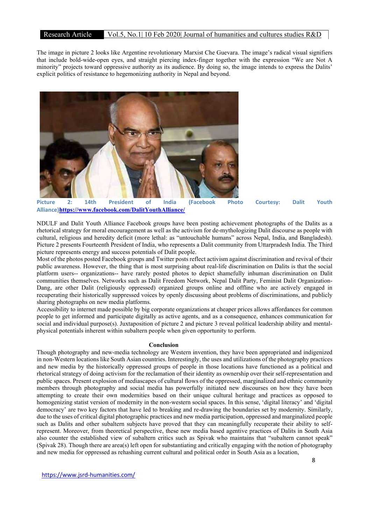## Research Article Vol.5, No.1| 10 Feb 2020| Journal of humanities and cultures studies R&D

The image in picture 2 looks like Argentine revolutionary Marxist Che Guevara. The image's radical visual signifiers that include bold-wide-open eyes, and straight piercing index-finger together with the expression "We are Not A minority" projects toward oppressive authority as its audience. By doing so, the image intends to express the Dalits' explicit politics of resistance to hegemonizing authority in Nepal and beyond.



Picture 2: 14th President of India (Facebook Photo Courtesy: Dalit Youth Alliance)https://www.facebook.com/DalitYouthAlliance/

NDULF and Dalit Youth Alliance Facebook groups have been posting achievement photographs of the Dalits as a rhetorical strategy for moral encouragement as well as the activism for de-mythologizing Dalit discourse as people with cultural, religious and heredity deficit (more lethal: as "untouchable humans" across Nepal, India, and Bangladesh). Picture 2 presents Fourteenth President of India, who represents a Dalit community from Uttarpradesh India. The Third picture represents energy and success potentials of Dalit people.

Most of the photos posted Facebook groups and Twitter posts reflect activism against discrimination and revival of their public awareness. However, the thing that is most surprising about real-life discrimination on Dalits is that the social platform users-- organizations-- have rarely posted photos to depict shamefully inhuman discrimination on Dalit communities themselves. Networks such as Dalit Freedom Network, Nepal Dalit Party, Feminist Dalit Organization-Dang, are other Dalit (religiously oppressed) organized groups online and offline who are actively engaged in recuperating their historically suppressed voices by openly discussing about problems of discriminations, and publicly sharing photographs on new media platforms.

Accessibility to internet made possible by big corporate organizations at cheaper prices allows affordances for common people to get informed and participate digitally as active agents, and as a consequence, enhances communication for social and individual purpose(s). Juxtaposition of picture 2 and picture 3 reveal political leadership ability and mentalphysical potentials inherent within subaltern people when given opportunity to perform.

#### Conclusion

Though photography and new-media technology are Western invention, they have been appropriated and indigenized in non-Western locations like South Asian countries. Interestingly, the uses and utilizations of the photography practices and new media by the historically oppressed groups of people in those locations have functioned as a political and rhetorical strategy of doing activism for the reclamation of their identity as ownership over their self-representation and public spaces. Present explosion of mediascapes of cultural flows of the oppressed, marginalized and ethnic community members through photography and social media has powerfully initiated new discourses on how they have been attempting to create their own modernities based on their unique cultural heritage and practices as opposed to homogenizing statist version of modernity in the non-western social spaces. In this sense, 'digital literacy' and 'digital democracy' are two key factors that have led to breaking and re-drawing the boundaries set by modernity. Similarly, due to the uses of critical digital photographic practices and new media participation, oppressed and marginalized people such as Dalits and other subaltern subjects have proved that they can meaningfully recuperate their ability to selfrepresent. Moreover, from theoretical perspective, these new media based agentive practices of Dalits in South Asia also counter the established view of subaltern critics such as Spivak who maintains that "subaltern cannot speak" (Spivak 28). Though there are area(s) left open for substantiating and critically engaging with the notion of photography and new media for oppressed as rehashing current cultural and political order in South Asia as a location,